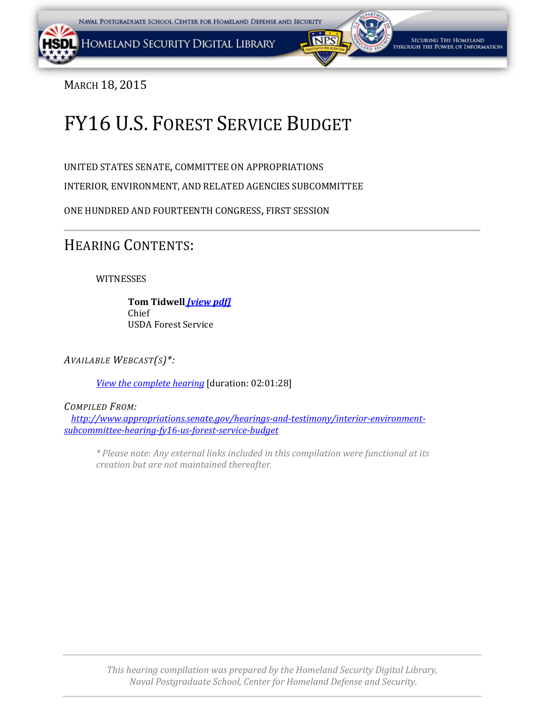### <span id="page-0-0"></span>MARCH 18, 2015

# FY16 U.S. FOREST SERVICE BUDGET

UNITED STATES SENATE, COMMITTEE ON APPROPRIATIONS

INTERIOR, ENVIRONMENT, AND RELATED AGENCIES SUBCOMMITTEE

ONE HUNDRED AND FOURTEENTH CONGRESS, FIRST SESSION

## HEARING CONTENTS:

WITNESSES

**Tom Tidwell** *[\[view pdf\]](#page-1-0)* Chief USDA Forest Service

*AVAILABLE WEBCAST(S)\*:*

*View the [complete hearing](http://1.usa.gov/1GWWt9p%C2%A0)* [duration: 02:01:28]

*COMPILED FROM:*

*[http://www.appropriations.senate.gov/hearings-and-testimony/interior-environment](http://www.appropriations.senate.gov/hearings-and-testimony/interior-environment-subcommittee-hearing-fy16-us-forest-service-budget)[subcommittee-hearing-fy16-us-forest-service-budget](http://www.appropriations.senate.gov/hearings-and-testimony/interior-environment-subcommittee-hearing-fy16-us-forest-service-budget)*

*\* Please note: Any external links included in this compilation were functional at its creation but are not maintained thereafter.*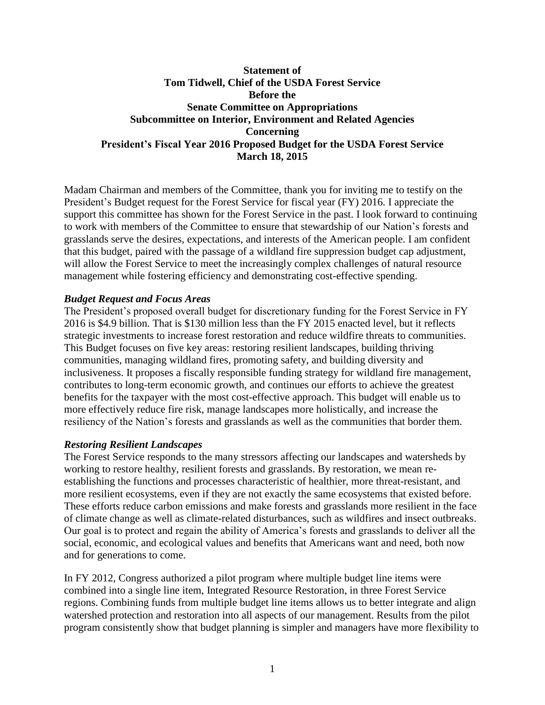#### <span id="page-1-0"></span>**Statement of Tom Tidwell, Chief of the USDA Forest Service Before the Senate Committee on Appropriations Subcommittee on Interior, Environment and Related Agencies Concerning President's Fiscal Year 2016 Proposed Budget for the USDA Forest Service March 18, 2015**

Madam Chairman and members of the Committee, thank you for inviting me to testify on the President's Budget request for the Forest Service for fiscal year (FY) 2016. I appreciate the support this committee has shown for the Forest Service in the past. I look forward to continuing to work with members of the Committee to ensure that stewardship of our Nation's forests and grasslands serve the desires, expectations, and interests of the American people. I am confident that this budget, paired with the passage of a wildland fire suppression budget cap adjustment, will allow the Forest Service to meet the increasingly complex challenges of natural resource management while fostering efficiency and demonstrating cost-effective spending.

#### *Budget Request and Focus Areas*

The President's proposed overall budget for discretionary funding for the Forest Service in FY 2016 is \$4.9 billion. That is \$130 million less than the FY 2015 enacted level, but it reflects strategic investments to increase forest restoration and reduce wildfire threats to communities. This Budget focuses on five key areas: restoring resilient landscapes, building thriving communities, managing wildland fires, promoting safety, and building diversity and inclusiveness. It proposes a fiscally responsible funding strategy for wildland fire management, contributes to long-term economic growth, and continues our efforts to achieve the greatest benefits for the taxpayer with the most cost-effective approach. This budget will enable us to more effectively reduce fire risk, manage landscapes more holistically, and increase the resiliency of the Nation's forests and grasslands as well as the communities that border them.

#### *Restoring Resilient Landscapes*

The Forest Service responds to the many stressors affecting our landscapes and watersheds by working to restore healthy, resilient forests and grasslands. By restoration, we mean reestablishing the functions and processes characteristic of healthier, more threat-resistant, and more resilient ecosystems, even if they are not exactly the same ecosystems that existed before. These efforts reduce carbon emissions and make forests and grasslands more resilient in the face of climate change as well as climate-related disturbances, such as wildfires and insect outbreaks. Our goal is to protect and regain the ability of America's forests and grasslands to deliver all the social, economic, and ecological values and benefits that Americans want and need, both now and for generations to come.

In FY 2012, Congress authorized a pilot program where multiple budget line items were combined into a single line item, Integrated Resource Restoration, in three Forest Service regions. Combining funds from multiple budget line items allows us to better integrate and align watershed protection and restoration into all aspects of our management. Results from the pilot program consistently show that budget planning is simpler and managers have more flexibility to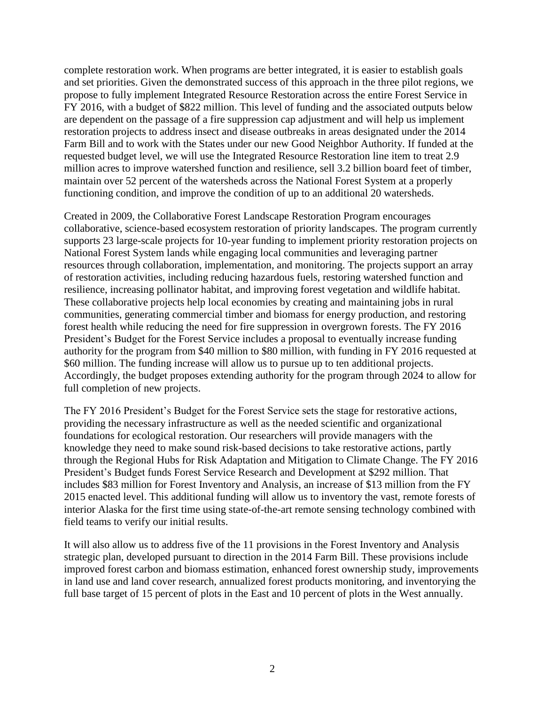complete restoration work. When programs are better integrated, it is easier to establish goals and set priorities. Given the demonstrated success of this approach in the three pilot regions, we propose to fully implement Integrated Resource Restoration across the entire Forest Service in FY 2016, with a budget of \$822 million. This level of funding and the associated outputs below are dependent on the passage of a fire suppression cap adjustment and will help us implement restoration projects to address insect and disease outbreaks in areas designated under the 2014 Farm Bill and to work with the States under our new Good Neighbor Authority. If funded at the requested budget level, we will use the Integrated Resource Restoration line item to treat 2.9 million acres to improve watershed function and resilience, sell 3.2 billion board feet of timber, maintain over 52 percent of the watersheds across the National Forest System at a properly functioning condition, and improve the condition of up to an additional 20 watersheds.

Created in 2009, the Collaborative Forest Landscape Restoration Program encourages collaborative, science-based ecosystem restoration of priority landscapes. The program currently supports 23 large-scale projects for 10-year funding to implement priority restoration projects on National Forest System lands while engaging local communities and leveraging partner resources through collaboration, implementation, and monitoring. The projects support an array of restoration activities, including reducing hazardous fuels, restoring watershed function and resilience, increasing pollinator habitat, and improving forest vegetation and wildlife habitat. These collaborative projects help local economies by creating and maintaining jobs in rural communities, generating commercial timber and biomass for energy production, and restoring forest health while reducing the need for fire suppression in overgrown forests. The FY 2016 President's Budget for the Forest Service includes a proposal to eventually increase funding authority for the program from \$40 million to \$80 million, with funding in FY 2016 requested at \$60 million. The funding increase will allow us to pursue up to ten additional projects. Accordingly, the budget proposes extending authority for the program through 2024 to allow for full completion of new projects.

The FY 2016 President's Budget for the Forest Service sets the stage for restorative actions, providing the necessary infrastructure as well as the needed scientific and organizational foundations for ecological restoration. Our researchers will provide managers with the knowledge they need to make sound risk-based decisions to take restorative actions, partly through the Regional Hubs for Risk Adaptation and Mitigation to Climate Change. The FY 2016 President's Budget funds Forest Service Research and Development at \$292 million. That includes \$83 million for Forest Inventory and Analysis, an increase of \$13 million from the FY 2015 enacted level. This additional funding will allow us to inventory the vast, remote forests of interior Alaska for the first time using state-of-the-art remote sensing technology combined with field teams to verify our initial results.

It will also allow us to address five of the 11 provisions in the Forest Inventory and Analysis strategic plan, developed pursuant to direction in the 2014 Farm Bill. These provisions include improved forest carbon and biomass estimation, enhanced forest ownership study, improvements in land use and land cover research, annualized forest products monitoring, and inventorying the full base target of 15 percent of plots in the East and 10 percent of plots in the West annually.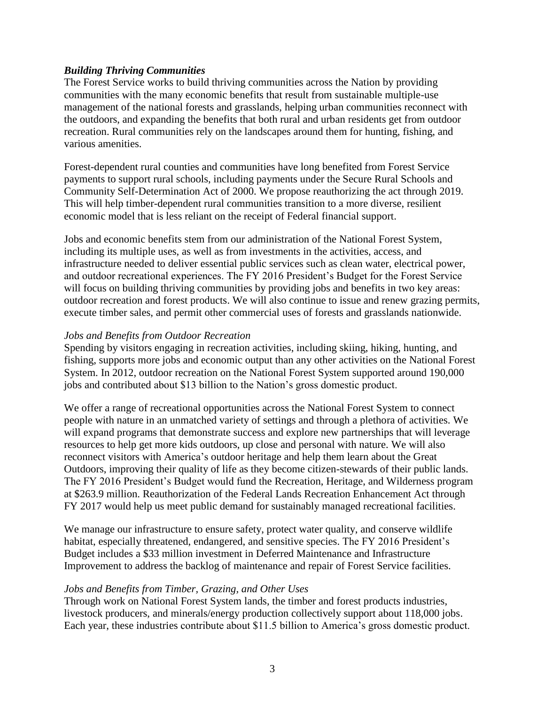#### *Building Thriving Communities*

The Forest Service works to build thriving communities across the Nation by providing communities with the many economic benefits that result from sustainable multiple-use management of the national forests and grasslands, helping urban communities reconnect with the outdoors, and expanding the benefits that both rural and urban residents get from outdoor recreation. Rural communities rely on the landscapes around them for hunting, fishing, and various amenities.

Forest-dependent rural counties and communities have long benefited from Forest Service payments to support rural schools, including payments under the Secure Rural Schools and Community Self-Determination Act of 2000. We propose reauthorizing the act through 2019. This will help timber-dependent rural communities transition to a more diverse, resilient economic model that is less reliant on the receipt of Federal financial support.

Jobs and economic benefits stem from our administration of the National Forest System, including its multiple uses, as well as from investments in the activities, access, and infrastructure needed to deliver essential public services such as clean water, electrical power, and outdoor recreational experiences. The FY 2016 President's Budget for the Forest Service will focus on building thriving communities by providing jobs and benefits in two key areas: outdoor recreation and forest products. We will also continue to issue and renew grazing permits, execute timber sales, and permit other commercial uses of forests and grasslands nationwide.

#### *Jobs and Benefits from Outdoor Recreation*

Spending by visitors engaging in recreation activities, including skiing, hiking, hunting, and fishing, supports more jobs and economic output than any other activities on the National Forest System. In 2012, outdoor recreation on the National Forest System supported around 190,000 jobs and contributed about \$13 billion to the Nation's gross domestic product.

We offer a range of recreational opportunities across the National Forest System to connect people with nature in an unmatched variety of settings and through a plethora of activities. We will expand programs that demonstrate success and explore new partnerships that will leverage resources to help get more kids outdoors, up close and personal with nature. We will also reconnect visitors with America's outdoor heritage and help them learn about the Great Outdoors, improving their quality of life as they become citizen-stewards of their public lands. The FY 2016 President's Budget would fund the Recreation, Heritage, and Wilderness program at \$263.9 million. Reauthorization of the Federal Lands Recreation Enhancement Act through FY 2017 would help us meet public demand for sustainably managed recreational facilities.

We manage our infrastructure to ensure safety, protect water quality, and conserve wildlife habitat, especially threatened, endangered, and sensitive species. The FY 2016 President's Budget includes a \$33 million investment in Deferred Maintenance and Infrastructure Improvement to address the backlog of maintenance and repair of Forest Service facilities.

#### *Jobs and Benefits from Timber, Grazing, and Other Uses*

Through work on National Forest System lands, the timber and forest products industries, livestock producers, and minerals/energy production collectively support about 118,000 jobs. Each year, these industries contribute about \$11.5 billion to America's gross domestic product.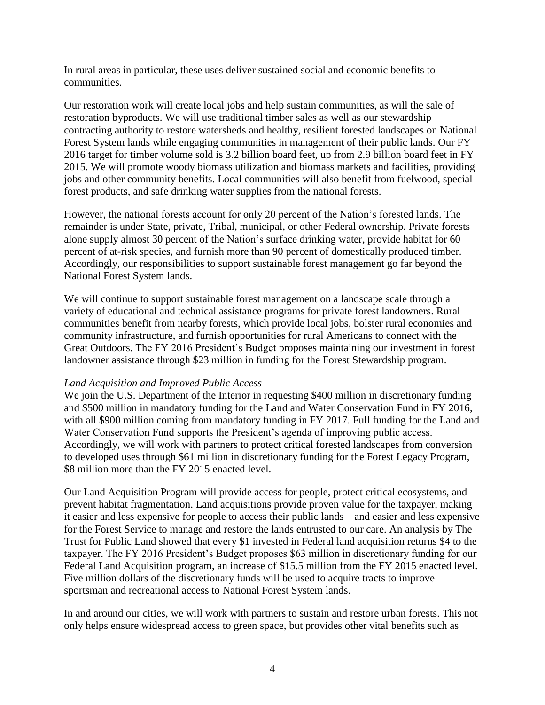In rural areas in particular, these uses deliver sustained social and economic benefits to communities.

Our restoration work will create local jobs and help sustain communities, as will the sale of restoration byproducts. We will use traditional timber sales as well as our stewardship contracting authority to restore watersheds and healthy, resilient forested landscapes on National Forest System lands while engaging communities in management of their public lands. Our FY 2016 target for timber volume sold is 3.2 billion board feet, up from 2.9 billion board feet in FY 2015. We will promote woody biomass utilization and biomass markets and facilities, providing jobs and other community benefits. Local communities will also benefit from fuelwood, special forest products, and safe drinking water supplies from the national forests.

However, the national forests account for only 20 percent of the Nation's forested lands. The remainder is under State, private, Tribal, municipal, or other Federal ownership. Private forests alone supply almost 30 percent of the Nation's surface drinking water, provide habitat for 60 percent of at-risk species, and furnish more than 90 percent of domestically produced timber. Accordingly, our responsibilities to support sustainable forest management go far beyond the National Forest System lands.

We will continue to support sustainable forest management on a landscape scale through a variety of educational and technical assistance programs for private forest landowners. Rural communities benefit from nearby forests, which provide local jobs, bolster rural economies and community infrastructure, and furnish opportunities for rural Americans to connect with the Great Outdoors. The FY 2016 President's Budget proposes maintaining our investment in forest landowner assistance through \$23 million in funding for the Forest Stewardship program.

#### *Land Acquisition and Improved Public Access*

We join the U.S. Department of the Interior in requesting \$400 million in discretionary funding and \$500 million in mandatory funding for the Land and Water Conservation Fund in FY 2016, with all \$900 million coming from mandatory funding in FY 2017. Full funding for the Land and Water Conservation Fund supports the President's agenda of improving public access. Accordingly, we will work with partners to protect critical forested landscapes from conversion to developed uses through \$61 million in discretionary funding for the Forest Legacy Program, \$8 million more than the FY 2015 enacted level.

Our Land Acquisition Program will provide access for people, protect critical ecosystems, and prevent habitat fragmentation. Land acquisitions provide proven value for the taxpayer, making it easier and less expensive for people to access their public lands—and easier and less expensive for the Forest Service to manage and restore the lands entrusted to our care. An analysis by The Trust for Public Land showed that every \$1 invested in Federal land acquisition returns \$4 to the taxpayer. The FY 2016 President's Budget proposes \$63 million in discretionary funding for our Federal Land Acquisition program, an increase of \$15.5 million from the FY 2015 enacted level. Five million dollars of the discretionary funds will be used to acquire tracts to improve sportsman and recreational access to National Forest System lands.

In and around our cities, we will work with partners to sustain and restore urban forests. This not only helps ensure widespread access to green space, but provides other vital benefits such as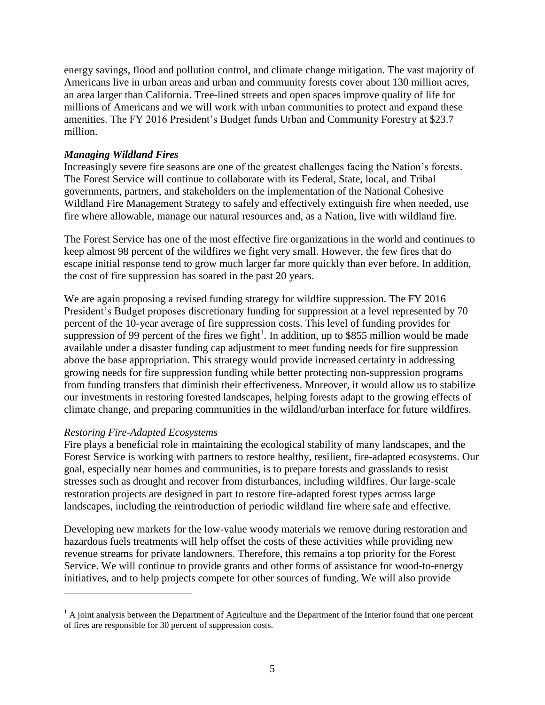energy savings, flood and pollution control, and climate change mitigation. The vast majority of Americans live in urban areas and urban and community forests cover about 130 million acres, an area larger than California. Tree-lined streets and open spaces improve quality of life for millions of Americans and we will work with urban communities to protect and expand these amenities. The FY 2016 President's Budget funds Urban and Community Forestry at \$23.7 million.

#### *Managing Wildland Fires*

Increasingly severe fire seasons are one of the greatest challenges facing the Nation's forests. The Forest Service will continue to collaborate with its Federal, State, local, and Tribal governments, partners, and stakeholders on the implementation of the National Cohesive Wildland Fire Management Strategy to safely and effectively extinguish fire when needed, use fire where allowable, manage our natural resources and, as a Nation, live with wildland fire.

The Forest Service has one of the most effective fire organizations in the world and continues to keep almost 98 percent of the wildfires we fight very small. However, the few fires that do escape initial response tend to grow much larger far more quickly than ever before. In addition, the cost of fire suppression has soared in the past 20 years.

We are again proposing a revised funding strategy for wildfire suppression. The FY 2016 President's Budget proposes discretionary funding for suppression at a level represented by 70 percent of the 10-year average of fire suppression costs. This level of funding provides for suppression of 99 percent of the fires we fight<sup>1</sup>. In addition, up to \$855 million would be made available under a disaster funding cap adjustment to meet funding needs for fire suppression above the base appropriation. This strategy would provide increased certainty in addressing growing needs for fire suppression funding while better protecting non-suppression programs from funding transfers that diminish their effectiveness. Moreover, it would allow us to stabilize our investments in restoring forested landscapes, helping forests adapt to the growing effects of climate change, and preparing communities in the wildland/urban interface for future wildfires.

#### *Restoring Fire-Adapted Ecosystems*

 $\overline{a}$ 

Fire plays a beneficial role in maintaining the ecological stability of many landscapes, and the Forest Service is working with partners to restore healthy, resilient, fire-adapted ecosystems. Our goal, especially near homes and communities, is to prepare forests and grasslands to resist stresses such as drought and recover from disturbances, including wildfires. Our large-scale restoration projects are designed in part to restore fire-adapted forest types across large landscapes, including the reintroduction of periodic wildland fire where safe and effective.

Developing new markets for the low-value woody materials we remove during restoration and hazardous fuels treatments will help offset the costs of these activities while providing new revenue streams for private landowners. Therefore, this remains a top priority for the Forest Service. We will continue to provide grants and other forms of assistance for wood-to-energy initiatives, and to help projects compete for other sources of funding. We will also provide

 $<sup>1</sup>$  A joint analysis between the Department of Agriculture and the Department of the Interior found that one percent</sup> of fires are responsible for 30 percent of suppression costs.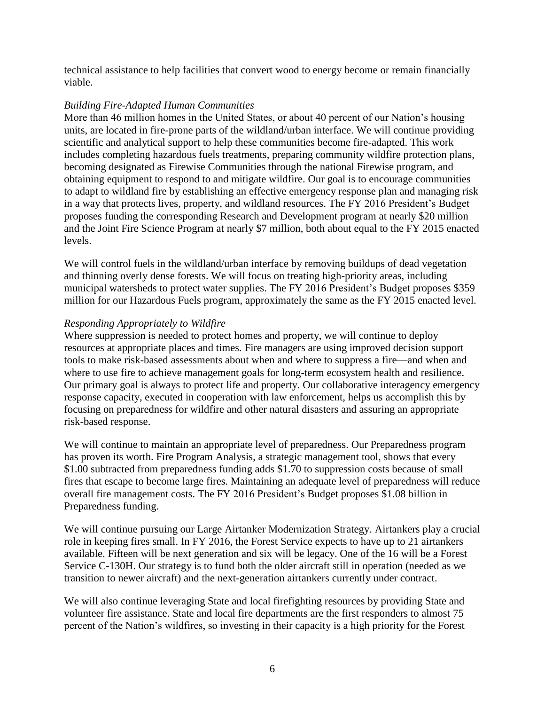technical assistance to help facilities that convert wood to energy become or remain financially viable.

#### *Building Fire-Adapted Human Communities*

More than 46 million homes in the United States, or about 40 percent of our Nation's housing units, are located in fire-prone parts of the wildland/urban interface. We will continue providing scientific and analytical support to help these communities become fire-adapted. This work includes completing hazardous fuels treatments, preparing community wildfire protection plans, becoming designated as Firewise Communities through the national Firewise program, and obtaining equipment to respond to and mitigate wildfire. Our goal is to encourage communities to adapt to wildland fire by establishing an effective emergency response plan and managing risk in a way that protects lives, property, and wildland resources. The FY 2016 President's Budget proposes funding the corresponding Research and Development program at nearly \$20 million and the Joint Fire Science Program at nearly \$7 million, both about equal to the FY 2015 enacted levels.

We will control fuels in the wildland/urban interface by removing buildups of dead vegetation and thinning overly dense forests. We will focus on treating high-priority areas, including municipal watersheds to protect water supplies. The FY 2016 President's Budget proposes \$359 million for our Hazardous Fuels program, approximately the same as the FY 2015 enacted level.

#### *Responding Appropriately to Wildfire*

Where suppression is needed to protect homes and property, we will continue to deploy resources at appropriate places and times. Fire managers are using improved decision support tools to make risk-based assessments about when and where to suppress a fire—and when and where to use fire to achieve management goals for long-term ecosystem health and resilience. Our primary goal is always to protect life and property. Our collaborative interagency emergency response capacity, executed in cooperation with law enforcement, helps us accomplish this by focusing on preparedness for wildfire and other natural disasters and assuring an appropriate risk-based response.

We will continue to maintain an appropriate level of preparedness. Our Preparedness program has proven its worth. Fire Program Analysis, a strategic management tool, shows that every \$1.00 subtracted from preparedness funding adds \$1.70 to suppression costs because of small fires that escape to become large fires. Maintaining an adequate level of preparedness will reduce overall fire management costs. The FY 2016 President's Budget proposes \$1.08 billion in Preparedness funding.

We will continue pursuing our Large Airtanker Modernization Strategy. Airtankers play a crucial role in keeping fires small. In FY 2016, the Forest Service expects to have up to 21 airtankers available. Fifteen will be next generation and six will be legacy. One of the 16 will be a Forest Service C-130H. Our strategy is to fund both the older aircraft still in operation (needed as we transition to newer aircraft) and the next-generation airtankers currently under contract.

We will also continue leveraging State and local firefighting resources by providing State and volunteer fire assistance. State and local fire departments are the first responders to almost 75 percent of the Nation's wildfires, so investing in their capacity is a high priority for the Forest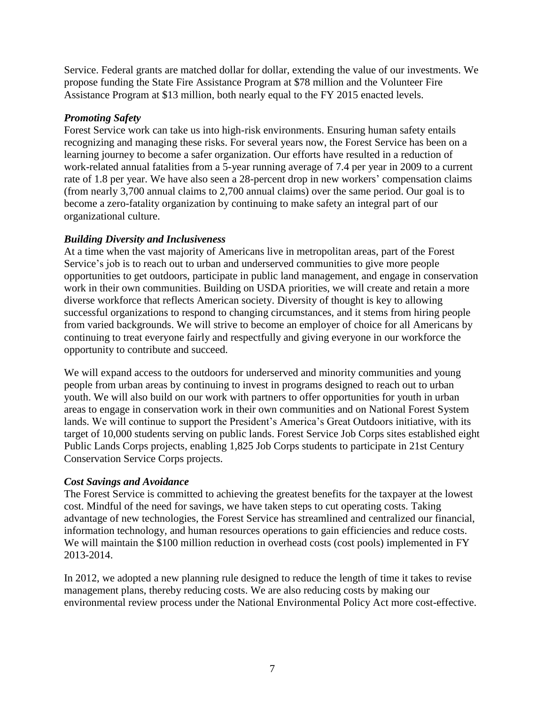Service. Federal grants are matched dollar for dollar, extending the value of our investments. We propose funding the State Fire Assistance Program at \$78 million and the Volunteer Fire Assistance Program at \$13 million, both nearly equal to the FY 2015 enacted levels.

#### *Promoting Safety*

Forest Service work can take us into high-risk environments. Ensuring human safety entails recognizing and managing these risks. For several years now, the Forest Service has been on a learning journey to become a safer organization. Our efforts have resulted in a reduction of work-related annual fatalities from a 5-year running average of 7.4 per year in 2009 to a current rate of 1.8 per year. We have also seen a 28-percent drop in new workers' compensation claims (from nearly 3,700 annual claims to 2,700 annual claims) over the same period. Our goal is to become a zero-fatality organization by continuing to make safety an integral part of our organizational culture.

#### *Building Diversity and Inclusiveness*

At a time when the vast majority of Americans live in metropolitan areas, part of the Forest Service's job is to reach out to urban and underserved communities to give more people opportunities to get outdoors, participate in public land management, and engage in conservation work in their own communities. Building on USDA priorities, we will create and retain a more diverse workforce that reflects American society. Diversity of thought is key to allowing successful organizations to respond to changing circumstances, and it stems from hiring people from varied backgrounds. We will strive to become an employer of choice for all Americans by continuing to treat everyone fairly and respectfully and giving everyone in our workforce the opportunity to contribute and succeed.

We will expand access to the outdoors for underserved and minority communities and young people from urban areas by continuing to invest in programs designed to reach out to urban youth. We will also build on our work with partners to offer opportunities for youth in urban areas to engage in conservation work in their own communities and on National Forest System lands. We will continue to support the President's America's Great Outdoors initiative, with its target of 10,000 students serving on public lands. Forest Service Job Corps sites established eight Public Lands Corps projects, enabling 1,825 Job Corps students to participate in 21st Century Conservation Service Corps projects.

#### *Cost Savings and Avoidance*

The Forest Service is committed to achieving the greatest benefits for the taxpayer at the lowest cost. Mindful of the need for savings, we have taken steps to cut operating costs. Taking advantage of new technologies, the Forest Service has streamlined and centralized our financial, information technology, and human resources operations to gain efficiencies and reduce costs. We will maintain the \$100 million reduction in overhead costs (cost pools) implemented in FY 2013-2014.

In 2012, we adopted a new planning rule designed to reduce the length of time it takes to revise management plans, thereby reducing costs. We are also reducing costs by making our environmental review process under the National Environmental Policy Act more cost-effective.